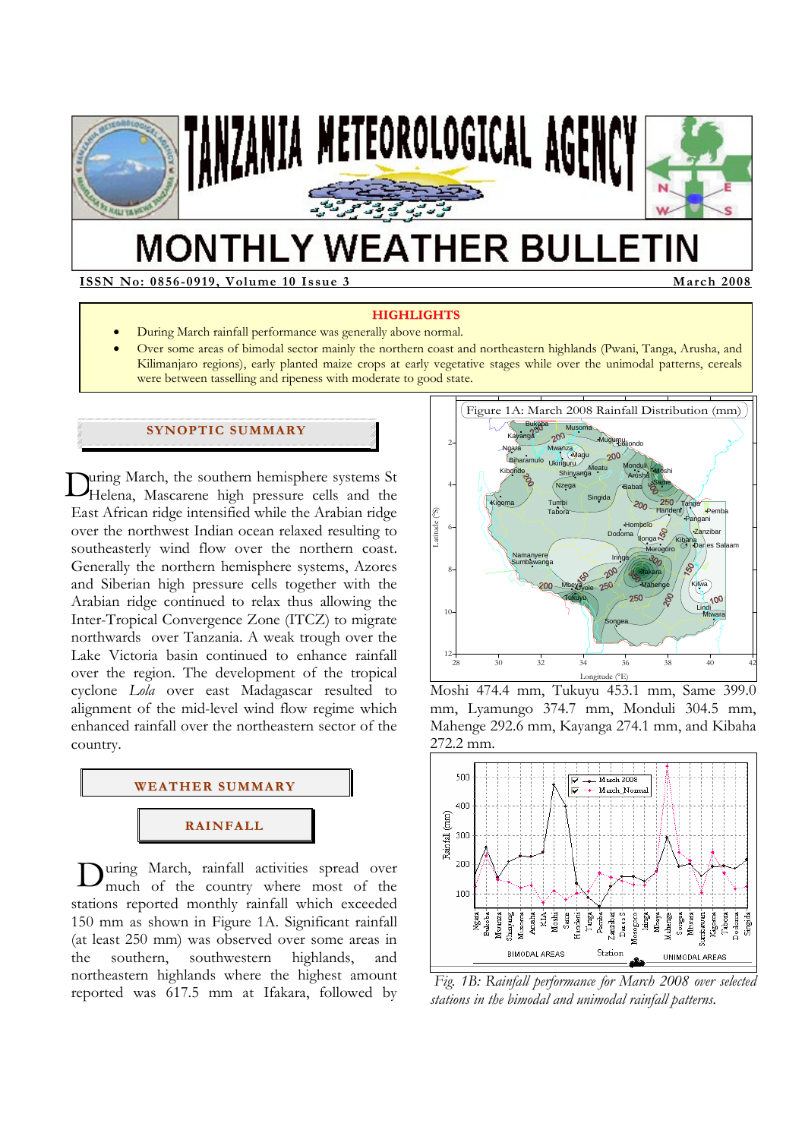

# **MONTHLY WEATHER BULLETIN**

**ISSN No: 0856-0919, Volume 10 Issue 3 March 2008** 

#### **HIGHLIGHTS**

- During March rainfall performance was generally above normal.
- Over some areas of bimodal sector mainly the northern coast and northeastern highlands (Pwani, Tanga, Arusha, and Kilimanjaro regions), early planted maize crops at early vegetative stages while over the unimodal patterns, cereals were between tasselling and ripeness with moderate to good state.

# **SYNOPTIC SUMMARY**

uring March, the southern hemisphere systems St During March, the southern hemisphere systems St<br>Helena, Mascarene high pressure cells and the East African ridge intensified while the Arabian ridge over the northwest Indian ocean relaxed resulting to southeasterly wind flow over the northern coast. Generally the northern hemisphere systems, Azores and Siberian high pressure cells together with the Arabian ridge continued to relax thus allowing the Inter-Tropical Convergence Zone (ITCZ) to migrate northwards over Tanzania. A weak trough over the Lake Victoria basin continued to enhance rainfall over the region. The development of the tropical cyclone *Lola* over east Madagascar resulted to alignment of the mid-level wind flow regime which enhanced rainfall over the northeastern sector of the country.



During March, rainfall activities spread over<br>much of the country where most of the much of the country where most of the stations reported monthly rainfall which exceeded 150 mm as shown in Figure 1A. Significant rainfall (at least 250 mm) was observed over some areas in the southern, southwestern highlands, and northeastern highlands where the highest amount reported was 617.5 mm at Ifakara, followed by



Moshi 474.4 mm, Tukuyu 453.1 mm, Same 399.0 mm, Lyamungo 374.7 mm, Monduli 304.5 mm, Mahenge 292.6 mm, Kayanga 274.1 mm, and Kibaha 272.2 mm.



 *Fig. 1B: Rainfall performance for March 2008 over selected stations in the bimodal and unimodal rainfall patterns.*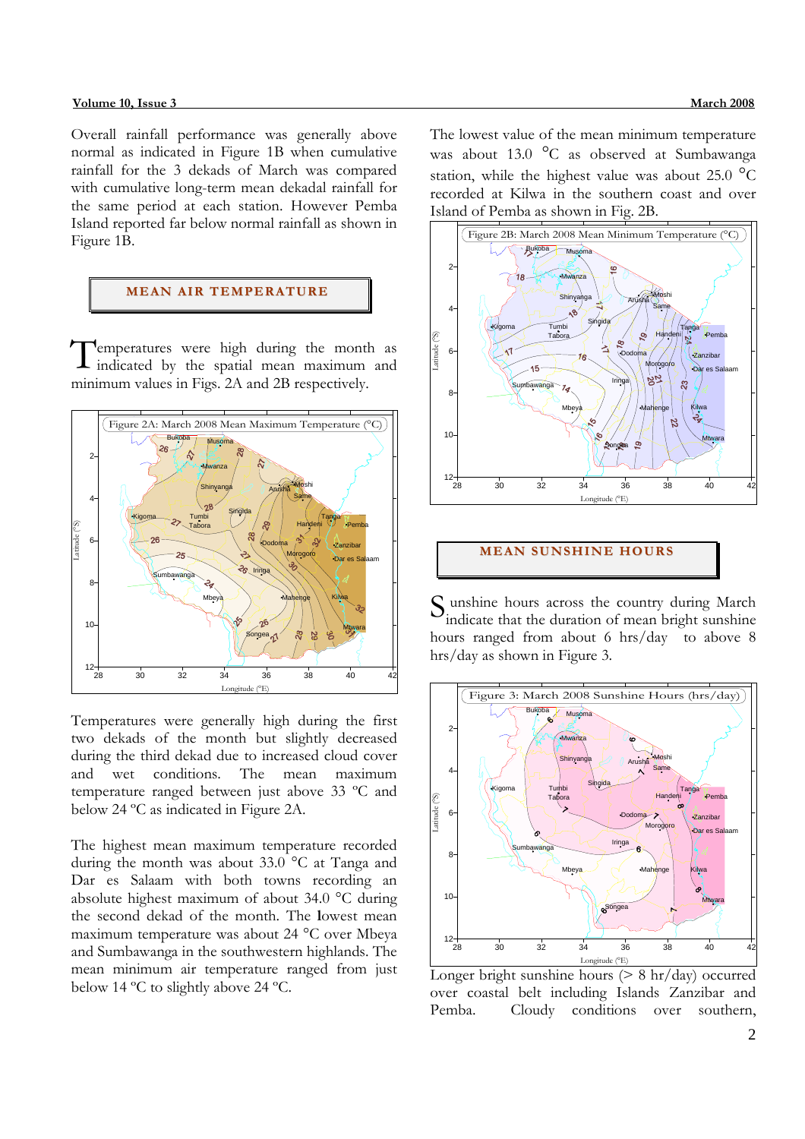#### **Volume 10, Issue 3 March 2008**

Overall rainfall performance was generally above normal as indicated in Figure 1B when cumulative rainfall for the 3 dekads of March was compared with cumulative long-term mean dekadal rainfall for the same period at each station. However Pemba Island reported far below normal rainfall as shown in Figure 1B.

## **MEAN AIR TEMPERATURE**

Temperatures were high during the month as indicated by the spatial mean maximum and indicated by the spatial mean maximum and minimum values in Figs. 2A and 2B respectively.



Temperatures were generally high during the first two dekads of the month but slightly decreased during the third dekad due to increased cloud cover and wet conditions. The mean maximum temperature ranged between just above 33 ºC and below 24 ºC as indicated in Figure 2A.

The highest mean maximum temperature recorded during the month was about 33.0 °C at Tanga and Dar es Salaam with both towns recording an absolute highest maximum of about 34.0 °C during the second dekad of the month. The **l**owest mean maximum temperature was about 24 °C over Mbeya and Sumbawanga in the southwestern highlands. The mean minimum air temperature ranged from just below 14 ºC to slightly above 24 ºC.

The lowest value of the mean minimum temperature was about 13.0 °C as observed at Sumbawanga station, while the highest value was about  $25.0 \text{ °C}$ recorded at Kilwa in the southern coast and over Island of Pemba as shown in Fig. 2B.



## **MEAN SUNSHINE HOURS**

S unshine hours across the country during March<br>indicate that the duration of mean bright sunshine indicate that the duration of mean bright sunshine hours ranged from about 6 hrs/day to above 8 hrs/day as shown in Figure 3.



Longer bright sunshine hours  $(> 8 \text{ hr/day})$  occurred over coastal belt including Islands Zanzibar and Pemba. Cloudy conditions over southern,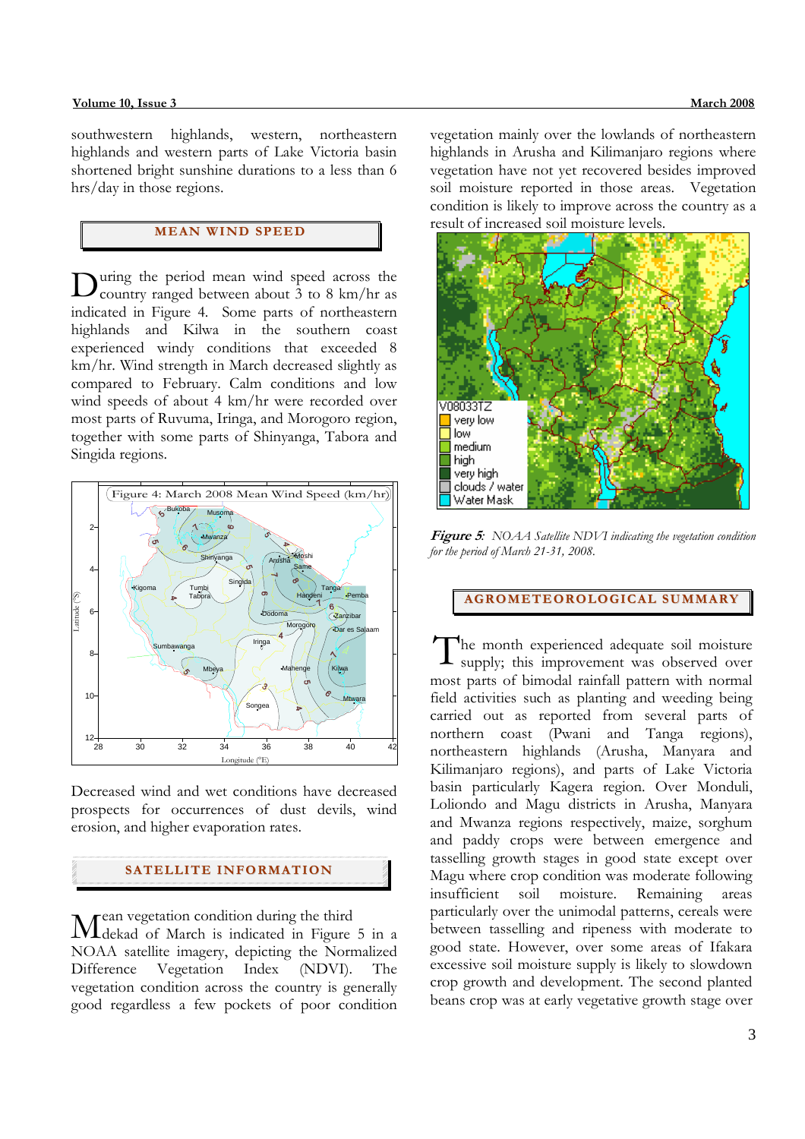southwestern highlands, western, northeastern highlands and western parts of Lake Victoria basin shortened bright sunshine durations to a less than 6 hrs/day in those regions.

# **MEAN WI ND SPEED**

uring the period mean wind speed across the During the period mean wind speed across the country ranged between about 3 to 8 km/hr as indicated in Figure 4. Some parts of northeastern highlands and Kilwa in the southern coast experienced windy conditions that exceeded 8 km/hr. Wind strength in March decreased slightly as compared to February. Calm conditions and low wind speeds of about 4 km/hr were recorded over most parts of Ruvuma, Iringa, and Morogoro region, together with some parts of Shinyanga, Tabora and Singida regions.



Decreased wind and wet conditions have decreased prospects for occurrences of dust devils, wind erosion, and higher evaporation rates.

# **SATELLITE I NFORMATION**

ean vegetation condition during the third Mean vegetation condition during the third<br>Melekad of March is indicated in Figure 5 in a NOAA satellite imagery, depicting the Normalized Difference Vegetation Index (NDVI). The vegetation condition across the country is generally good regardless a few pockets of poor condition

vegetation mainly over the lowlands of northeastern highlands in Arusha and Kilimanjaro regions where vegetation have not yet recovered besides improved soil moisture reported in those areas. Vegetation condition is likely to improve across the country as a result of increased soil moisture levels.



**Figure 5***: NOAA Satellite NDVI indicating the vegetation condition for the period of March 21-31, 2008.* 

**AGROMETEOROLOGICAL SUMMARY**

The month experienced adequate soil moisture supply; this improvement was observed over most parts of bimodal rainfall pattern with normal field activities such as planting and weeding being carried out as reported from several parts of northern coast (Pwani and Tanga regions), northeastern highlands (Arusha, Manyara and Kilimanjaro regions), and parts of Lake Victoria basin particularly Kagera region. Over Monduli, Loliondo and Magu districts in Arusha, Manyara and Mwanza regions respectively, maize, sorghum and paddy crops were between emergence and tasselling growth stages in good state except over Magu where crop condition was moderate following insufficient soil moisture. Remaining areas particularly over the unimodal patterns, cereals were between tasselling and ripeness with moderate to good state. However, over some areas of Ifakara excessive soil moisture supply is likely to slowdown crop growth and development. The second planted beans crop was at early vegetative growth stage over T